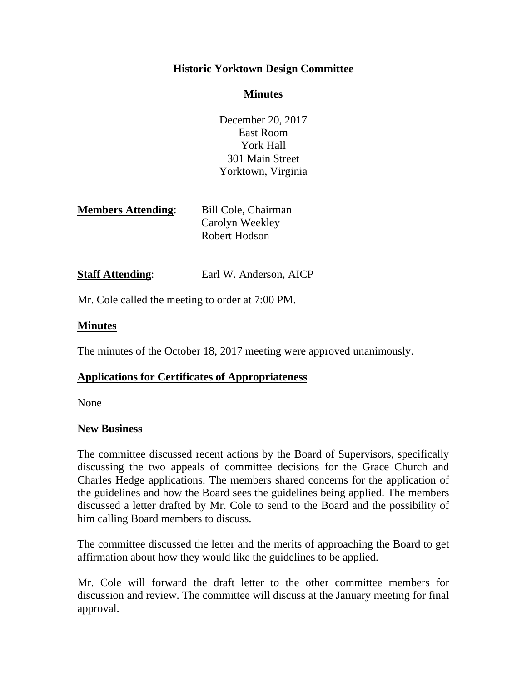## **Historic Yorktown Design Committee**

#### **Minutes**

December 20, 2017 East Room York Hall 301 Main Street Yorktown, Virginia

| <b>Members Attending:</b> | Bill Cole, Chairman |
|---------------------------|---------------------|
|                           | Carolyn Weekley     |
|                           | Robert Hodson       |

# **Staff Attending:** Earl W. Anderson, AICP

Mr. Cole called the meeting to order at 7:00 PM.

#### **Minutes**

The minutes of the October 18, 2017 meeting were approved unanimously.

### **Applications for Certificates of Appropriateness**

None

#### **New Business**

The committee discussed recent actions by the Board of Supervisors, specifically discussing the two appeals of committee decisions for the Grace Church and Charles Hedge applications. The members shared concerns for the application of the guidelines and how the Board sees the guidelines being applied. The members discussed a letter drafted by Mr. Cole to send to the Board and the possibility of him calling Board members to discuss.

The committee discussed the letter and the merits of approaching the Board to get affirmation about how they would like the guidelines to be applied.

Mr. Cole will forward the draft letter to the other committee members for discussion and review. The committee will discuss at the January meeting for final approval.